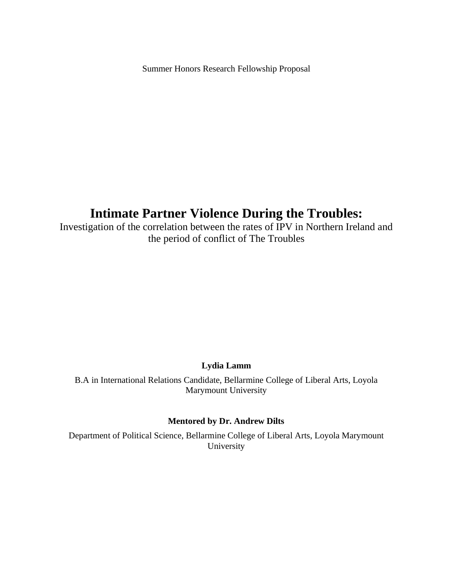Summer Honors Research Fellowship Proposal

# **Intimate Partner Violence During the Troubles:**

Investigation of the correlation between the rates of IPV in Northern Ireland and the period of conflict of The Troubles

### **Lydia Lamm**

B.A in International Relations Candidate, Bellarmine College of Liberal Arts, Loyola Marymount University

## **Mentored by Dr. Andrew Dilts**

Department of Political Science, Bellarmine College of Liberal Arts, Loyola Marymount University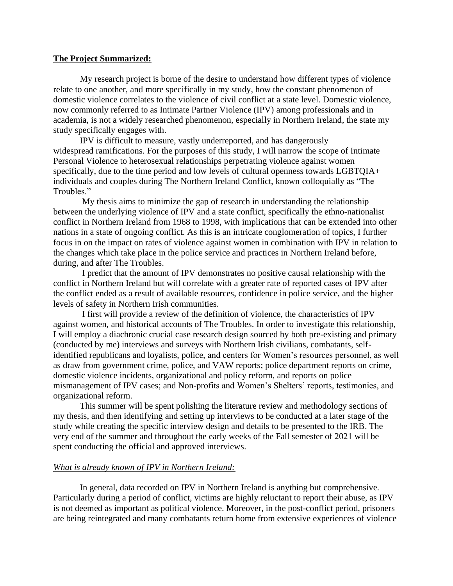#### **The Project Summarized:**

My research project is borne of the desire to understand how different types of violence relate to one another, and more specifically in my study, how the constant phenomenon of domestic violence correlates to the violence of civil conflict at a state level. Domestic violence, now commonly referred to as Intimate Partner Violence (IPV) among professionals and in academia, is not a widely researched phenomenon, especially in Northern Ireland, the state my study specifically engages with.

IPV is difficult to measure, vastly underreported, and has dangerously widespread ramifications. For the purposes of this study, I will narrow the scope of Intimate Personal Violence to heterosexual relationships perpetrating violence against women specifically, due to the time period and low levels of cultural openness towards LGBTQIA+ individuals and couples during The Northern Ireland Conflict, known colloquially as "The Troubles."

My thesis aims to minimize the gap of research in understanding the relationship between the underlying violence of IPV and a state conflict, specifically the ethno-nationalist conflict in Northern Ireland from 1968 to 1998, with implications that can be extended into other nations in a state of ongoing conflict. As this is an intricate conglomeration of topics, I further focus in on the impact on rates of violence against women in combination with IPV in relation to the changes which take place in the police service and practices in Northern Ireland before, during, and after The Troubles.

I predict that the amount of IPV demonstrates no positive causal relationship with the conflict in Northern Ireland but will correlate with a greater rate of reported cases of IPV after the conflict ended as a result of available resources, confidence in police service, and the higher levels of safety in Northern Irish communities.

I first will provide a review of the definition of violence, the characteristics of IPV against women, and historical accounts of The Troubles. In order to investigate this relationship, I will employ a diachronic crucial case research design sourced by both pre-existing and primary (conducted by me) interviews and surveys with Northern Irish civilians, combatants, selfidentified republicans and loyalists, police, and centers for Women's resources personnel, as well as draw from government crime, police, and VAW reports; police department reports on crime, domestic violence incidents, organizational and policy reform, and reports on police mismanagement of IPV cases; and Non-profits and Women's Shelters' reports, testimonies, and organizational reform.

This summer will be spent polishing the literature review and methodology sections of my thesis, and then identifying and setting up interviews to be conducted at a later stage of the study while creating the specific interview design and details to be presented to the IRB. The very end of the summer and throughout the early weeks of the Fall semester of 2021 will be spent conducting the official and approved interviews.

#### *What is already known of IPV in Northern Ireland:*

In general, data recorded on IPV in Northern Ireland is anything but comprehensive. Particularly during a period of conflict, victims are highly reluctant to report their abuse, as IPV is not deemed as important as political violence. Moreover, in the post-conflict period, prisoners are being reintegrated and many combatants return home from extensive experiences of violence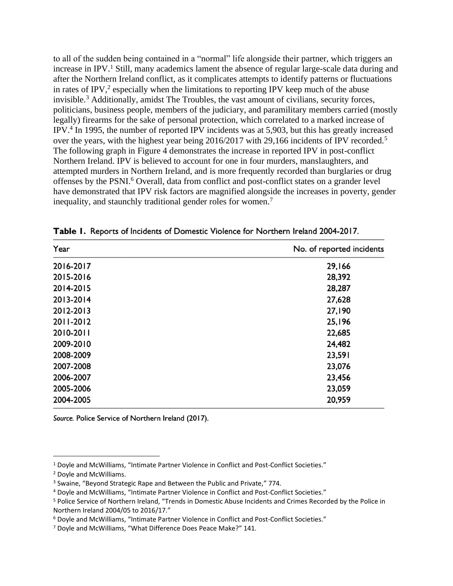to all of the sudden being contained in a "normal" life alongside their partner, which triggers an increase in IPV.<sup>1</sup> Still, many academics lament the absence of regular large-scale data during and after the Northern Ireland conflict, as it complicates attempts to identify patterns or fluctuations in rates of IPV, $2$  especially when the limitations to reporting IPV keep much of the abuse invisible.<sup>3</sup> Additionally, amidst The Troubles, the vast amount of civilians, security forces, politicians, business people, members of the judiciary, and paramilitary members carried (mostly legally) firearms for the sake of personal protection, which correlated to a marked increase of IPV.<sup>4</sup> In 1995, the number of reported IPV incidents was at 5,903, but this has greatly increased over the years, with the highest year being 2016/2017 with 29,166 incidents of IPV recorded.<sup>5</sup> The following graph in Figure 4 demonstrates the increase in reported IPV in post-conflict Northern Ireland. IPV is believed to account for one in four murders, manslaughters, and attempted murders in Northern Ireland, and is more frequently recorded than burglaries or drug offenses by the PSNI.<sup>6</sup> Overall, data from conflict and post-conflict states on a grander level have demonstrated that IPV risk factors are magnified alongside the increases in poverty, gender inequality, and staunchly traditional gender roles for women.<sup>7</sup>

| Year      | No. of reported incidents |
|-----------|---------------------------|
| 2016-2017 | 29,166                    |
| 2015-2016 | 28,392                    |
| 2014-2015 | 28,287                    |
| 2013-2014 | 27,628                    |
| 2012-2013 | 27,190                    |
| 2011-2012 | 25,196                    |
| 2010-2011 | 22,685                    |
| 2009-2010 | 24,482                    |
| 2008-2009 | 23,591                    |
| 2007-2008 | 23,076                    |
| 2006-2007 | 23,456                    |
| 2005-2006 | 23,059                    |
| 2004-2005 | 20,959                    |

Table 1. Reports of Incidents of Domestic Violence for Northern Ireland 2004-2017.

Source. Police Service of Northern Ireland (2017).

<sup>&</sup>lt;sup>1</sup> Doyle and McWilliams, "Intimate Partner Violence in Conflict and Post-Conflict Societies."

<sup>2</sup> Doyle and McWilliams.

<sup>&</sup>lt;sup>3</sup> Swaine, "Beyond Strategic Rape and Between the Public and Private," 774.

<sup>4</sup> Doyle and McWilliams, "Intimate Partner Violence in Conflict and Post-Conflict Societies."

<sup>5</sup> Police Service of Northern Ireland, "Trends in Domestic Abuse Incidents and Crimes Recorded by the Police in Northern Ireland 2004/05 to 2016/17."

<sup>6</sup> Doyle and McWilliams, "Intimate Partner Violence in Conflict and Post-Conflict Societies."

<sup>7</sup> Doyle and McWilliams, "What Difference Does Peace Make?" 141.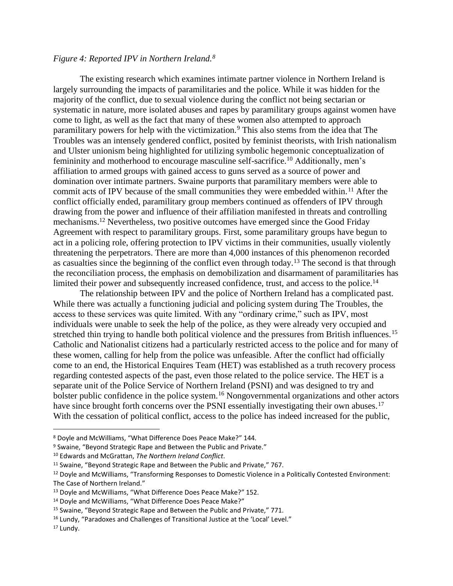### *Figure 4: Reported IPV in Northern Ireland.<sup>8</sup>*

The existing research which examines intimate partner violence in Northern Ireland is largely surrounding the impacts of paramilitaries and the police. While it was hidden for the majority of the conflict, due to sexual violence during the conflict not being sectarian or systematic in nature, more isolated abuses and rapes by paramilitary groups against women have come to light, as well as the fact that many of these women also attempted to approach paramilitary powers for help with the victimization.<sup>9</sup> This also stems from the idea that The Troubles was an intensely gendered conflict, posited by feminist theorists, with Irish nationalism and Ulster unionism being highlighted for utilizing symbolic hegemonic conceptualization of femininity and motherhood to encourage masculine self-sacrifice.<sup>10</sup> Additionally, men's affiliation to armed groups with gained access to guns served as a source of power and domination over intimate partners. Swaine purports that paramilitary members were able to commit acts of IPV because of the small communities they were embedded within.<sup>11</sup> After the conflict officially ended, paramilitary group members continued as offenders of IPV through drawing from the power and influence of their affiliation manifested in threats and controlling mechanisms.<sup>12</sup> Nevertheless, two positive outcomes have emerged since the Good Friday Agreement with respect to paramilitary groups. First, some paramilitary groups have begun to act in a policing role, offering protection to IPV victims in their communities, usually violently threatening the perpetrators. There are more than 4,000 instances of this phenomenon recorded as casualties since the beginning of the conflict even through today.<sup>13</sup> The second is that through the reconciliation process, the emphasis on demobilization and disarmament of paramilitaries has limited their power and subsequently increased confidence, trust, and access to the police.<sup>14</sup>

The relationship between IPV and the police of Northern Ireland has a complicated past. While there was actually a functioning judicial and policing system during The Troubles, the access to these services was quite limited. With any "ordinary crime," such as IPV, most individuals were unable to seek the help of the police, as they were already very occupied and stretched thin trying to handle both political violence and the pressures from British influences.<sup>15</sup> Catholic and Nationalist citizens had a particularly restricted access to the police and for many of these women, calling for help from the police was unfeasible. After the conflict had officially come to an end, the Historical Enquires Team (HET) was established as a truth recovery process regarding contested aspects of the past, even those related to the police service. The HET is a separate unit of the Police Service of Northern Ireland (PSNI) and was designed to try and bolster public confidence in the police system.<sup>16</sup> Nongovernmental organizations and other actors have since brought forth concerns over the PSNI essentially investigating their own abuses.<sup>17</sup> With the cessation of political conflict, access to the police has indeed increased for the public,

<sup>8</sup> Doyle and McWilliams, "What Difference Does Peace Make?" 144.

<sup>&</sup>lt;sup>9</sup> Swaine, "Beyond Strategic Rape and Between the Public and Private."

<sup>10</sup> Edwards and McGrattan, *The Northern Ireland Conflict*.

<sup>11</sup> Swaine, "Beyond Strategic Rape and Between the Public and Private," 767.

<sup>12</sup> Doyle and McWilliams, "Transforming Responses to Domestic Violence in a Politically Contested Environment: The Case of Northern Ireland."

<sup>13</sup> Doyle and McWilliams, "What Difference Does Peace Make?" 152.

<sup>14</sup> Doyle and McWilliams, "What Difference Does Peace Make?"

<sup>15</sup> Swaine, "Beyond Strategic Rape and Between the Public and Private," 771.

<sup>16</sup> Lundy, "Paradoxes and Challenges of Transitional Justice at the 'Local' Level."

<sup>&</sup>lt;sup>17</sup> Lundy.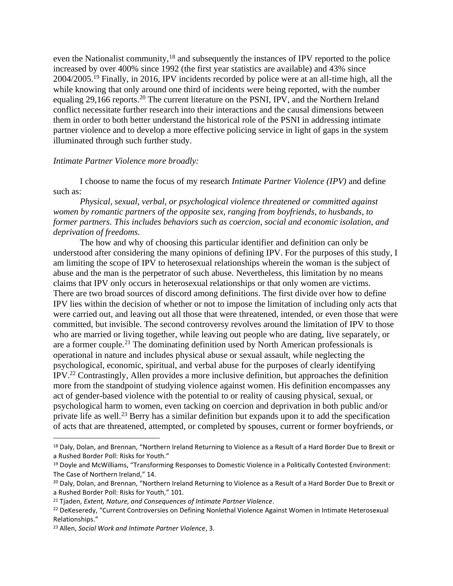even the Nationalist community,<sup>18</sup> and subsequently the instances of IPV reported to the police increased by over 400% since 1992 (the first year statistics are available) and 43% since 2004/2005.<sup>19</sup> Finally, in 2016, IPV incidents recorded by police were at an all-time high, all the while knowing that only around one third of incidents were being reported, with the number equaling 29,166 reports.<sup>20</sup> The current literature on the PSNI, IPV, and the Northern Ireland conflict necessitate further research into their interactions and the causal dimensions between them in order to both better understand the historical role of the PSNI in addressing intimate partner violence and to develop a more effective policing service in light of gaps in the system illuminated through such further study.

#### *Intimate Partner Violence more broadly:*

I choose to name the focus of my research *Intimate Partner Violence (IPV)* and define such as:

*Physical, sexual, verbal, or psychological violence threatened or committed against women by romantic partners of the opposite sex, ranging from boyfriends, to husbands, to former partners. This includes behaviors such as coercion, social and economic isolation, and deprivation of freedoms.*

The how and why of choosing this particular identifier and definition can only be understood after considering the many opinions of defining IPV. For the purposes of this study, I am limiting the scope of IPV to heterosexual relationships wherein the woman is the subject of abuse and the man is the perpetrator of such abuse. Nevertheless, this limitation by no means claims that IPV only occurs in heterosexual relationships or that only women are victims. There are two broad sources of discord among definitions. The first divide over how to define IPV lies within the decision of whether or not to impose the limitation of including only acts that were carried out, and leaving out all those that were threatened, intended, or even those that were committed, but invisible. The second controversy revolves around the limitation of IPV to those who are married or living together, while leaving out people who are dating, live separately, or are a former couple.<sup>21</sup> The dominating definition used by North American professionals is operational in nature and includes physical abuse or sexual assault, while neglecting the psychological, economic, spiritual, and verbal abuse for the purposes of clearly identifying IPV.<sup>22</sup> Contrastingly, Allen provides a more inclusive definition, but approaches the definition more from the standpoint of studying violence against women. His definition encompasses any act of gender-based violence with the potential to or reality of causing physical, sexual, or psychological harm to women, even tacking on coercion and deprivation in both public and/or private life as well.<sup>23</sup> Berry has a similar definition but expands upon it to add the specification of acts that are threatened, attempted, or completed by spouses, current or former boyfriends, or

<sup>&</sup>lt;sup>18</sup> Daly, Dolan, and Brennan, "Northern Ireland Returning to Violence as a Result of a Hard Border Due to Brexit or a Rushed Border Poll: Risks for Youth."

<sup>19</sup> Doyle and McWilliams, "Transforming Responses to Domestic Violence in a Politically Contested Environment: The Case of Northern Ireland," 14.

<sup>&</sup>lt;sup>20</sup> Daly, Dolan, and Brennan, "Northern Ireland Returning to Violence as a Result of a Hard Border Due to Brexit or a Rushed Border Poll: Risks for Youth," 101.

<sup>21</sup> Tjaden, *Extent, Nature, and Consequences of Intimate Partner Violence*.

<sup>&</sup>lt;sup>22</sup> DeKeseredy, "Current Controversies on Defining Nonlethal Violence Against Women in Intimate Heterosexual Relationships."

<sup>23</sup> Allen, *Social Work and Intimate Partner Violence*, 3.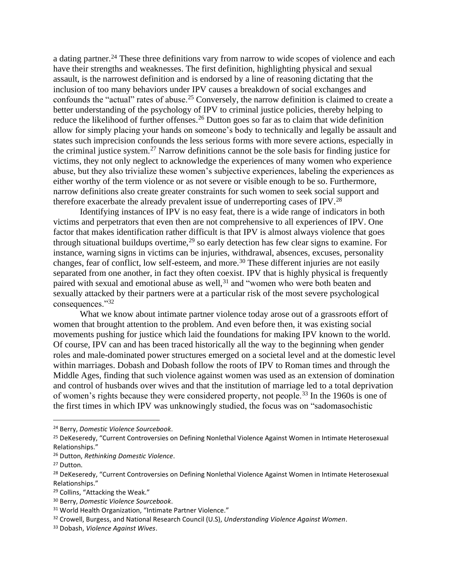a dating partner.<sup>24</sup> These three definitions vary from narrow to wide scopes of violence and each have their strengths and weaknesses. The first definition, highlighting physical and sexual assault, is the narrowest definition and is endorsed by a line of reasoning dictating that the inclusion of too many behaviors under IPV causes a breakdown of social exchanges and confounds the "actual" rates of abuse.<sup>25</sup> Conversely, the narrow definition is claimed to create a better understanding of the psychology of IPV to criminal justice policies, thereby helping to reduce the likelihood of further offenses.<sup>26</sup> Dutton goes so far as to claim that wide definition allow for simply placing your hands on someone's body to technically and legally be assault and states such imprecision confounds the less serious forms with more severe actions, especially in the criminal justice system.<sup>27</sup> Narrow definitions cannot be the sole basis for finding justice for victims, they not only neglect to acknowledge the experiences of many women who experience abuse, but they also trivialize these women's subjective experiences, labeling the experiences as either worthy of the term violence or as not severe or visible enough to be so. Furthermore, narrow definitions also create greater constraints for such women to seek social support and therefore exacerbate the already prevalent issue of underreporting cases of IPV.<sup>28</sup>

Identifying instances of IPV is no easy feat, there is a wide range of indicators in both victims and perpetrators that even then are not comprehensive to all experiences of IPV. One factor that makes identification rather difficult is that IPV is almost always violence that goes through situational buildups overtime,<sup>29</sup> so early detection has few clear signs to examine. For instance, warning signs in victims can be injuries, withdrawal, absences, excuses, personality changes, fear of conflict, low self-esteem, and more.<sup>30</sup> These different injuries are not easily separated from one another, in fact they often coexist. IPV that is highly physical is frequently paired with sexual and emotional abuse as well,<sup>31</sup> and "women who were both beaten and sexually attacked by their partners were at a particular risk of the most severe psychological consequences."<sup>32</sup>

What we know about intimate partner violence today arose out of a grassroots effort of women that brought attention to the problem. And even before then, it was existing social movements pushing for justice which laid the foundations for making IPV known to the world. Of course, IPV can and has been traced historically all the way to the beginning when gender roles and male-dominated power structures emerged on a societal level and at the domestic level within marriages. Dobash and Dobash follow the roots of IPV to Roman times and through the Middle Ages, finding that such violence against women was used as an extension of domination and control of husbands over wives and that the institution of marriage led to a total deprivation of women's rights because they were considered property, not people.<sup>33</sup> In the 1960s is one of the first times in which IPV was unknowingly studied, the focus was on "sadomasochistic

<sup>24</sup> Berry, *Domestic Violence Sourcebook*.

<sup>&</sup>lt;sup>25</sup> DeKeseredy, "Current Controversies on Defining Nonlethal Violence Against Women in Intimate Heterosexual Relationships."

<sup>26</sup> Dutton, *Rethinking Domestic Violence*.

<sup>&</sup>lt;sup>27</sup> Dutton.

<sup>&</sup>lt;sup>28</sup> DeKeseredy, "Current Controversies on Defining Nonlethal Violence Against Women in Intimate Heterosexual Relationships."

<sup>29</sup> Collins, "Attacking the Weak."

<sup>30</sup> Berry, *Domestic Violence Sourcebook*.

<sup>&</sup>lt;sup>31</sup> World Health Organization, "Intimate Partner Violence."

<sup>32</sup> Crowell, Burgess, and National Research Council (U.S), *Understanding Violence Against Women*.

<sup>33</sup> Dobash, *Violence Against Wives*.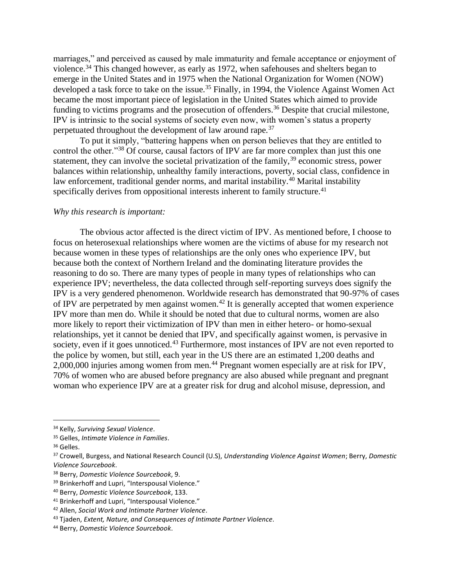marriages," and perceived as caused by male immaturity and female acceptance or enjoyment of violence.<sup>34</sup> This changed however, as early as 1972, when safehouses and shelters began to emerge in the United States and in 1975 when the National Organization for Women (NOW) developed a task force to take on the issue.<sup>35</sup> Finally, in 1994, the Violence Against Women Act became the most important piece of legislation in the United States which aimed to provide funding to victims programs and the prosecution of offenders.<sup>36</sup> Despite that crucial milestone, IPV is intrinsic to the social systems of society even now, with women's status a property perpetuated throughout the development of law around rape.<sup>37</sup>

To put it simply, "battering happens when on person believes that they are entitled to control the other."<sup>38</sup> Of course, causal factors of IPV are far more complex than just this one statement, they can involve the societal privatization of the family,<sup>39</sup> economic stress, power balances within relationship, unhealthy family interactions, poverty, social class, confidence in law enforcement, traditional gender norms, and marital instability.<sup>40</sup> Marital instability specifically derives from oppositional interests inherent to family structure.<sup>41</sup>

#### *Why this research is important:*

The obvious actor affected is the direct victim of IPV. As mentioned before, I choose to focus on heterosexual relationships where women are the victims of abuse for my research not because women in these types of relationships are the only ones who experience IPV, but because both the context of Northern Ireland and the dominating literature provides the reasoning to do so. There are many types of people in many types of relationships who can experience IPV; nevertheless, the data collected through self-reporting surveys does signify the IPV is a very gendered phenomenon. Worldwide research has demonstrated that 90-97% of cases of IPV are perpetrated by men against women.<sup>42</sup> It is generally accepted that women experience IPV more than men do. While it should be noted that due to cultural norms, women are also more likely to report their victimization of IPV than men in either hetero- or homo-sexual relationships, yet it cannot be denied that IPV, and specifically against women, is pervasive in society, even if it goes unnoticed.<sup>43</sup> Furthermore, most instances of IPV are not even reported to the police by women, but still, each year in the US there are an estimated 1,200 deaths and 2,000,000 injuries among women from men.<sup>44</sup> Pregnant women especially are at risk for IPV, 70% of women who are abused before pregnancy are also abused while pregnant and pregnant woman who experience IPV are at a greater risk for drug and alcohol misuse, depression, and

<sup>34</sup> Kelly, *Surviving Sexual Violence*.

<sup>35</sup> Gelles, *Intimate Violence in Families*.

<sup>36</sup> Gelles.

<sup>37</sup> Crowell, Burgess, and National Research Council (U.S), *Understanding Violence Against Women*; Berry, *Domestic Violence Sourcebook*.

<sup>38</sup> Berry, *Domestic Violence Sourcebook*, 9.

<sup>&</sup>lt;sup>39</sup> Brinkerhoff and Lupri, "Interspousal Violence."

<sup>40</sup> Berry, *Domestic Violence Sourcebook*, 133.

<sup>41</sup> Brinkerhoff and Lupri, "Interspousal Violence."

<sup>42</sup> Allen, *Social Work and Intimate Partner Violence*.

<sup>43</sup> Tjaden, *Extent, Nature, and Consequences of Intimate Partner Violence*.

<sup>44</sup> Berry, *Domestic Violence Sourcebook*.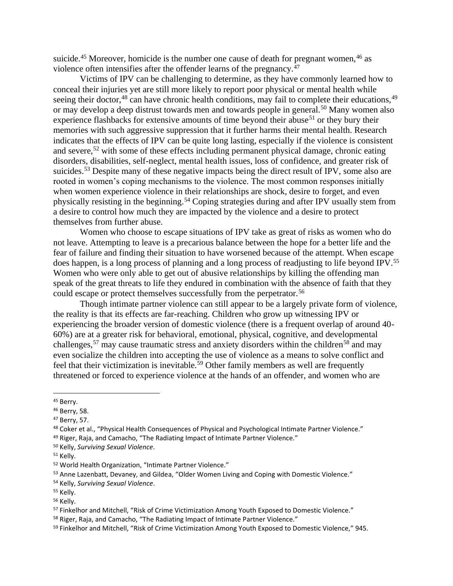suicide.<sup>45</sup> Moreover, homicide is the number one cause of death for pregnant women,  $46$  as violence often intensifies after the offender learns of the pregnancy. $47$ 

Victims of IPV can be challenging to determine, as they have commonly learned how to conceal their injuries yet are still more likely to report poor physical or mental health while seeing their doctor,<sup>48</sup> can have chronic health conditions, may fail to complete their educations,<sup>49</sup> or may develop a deep distrust towards men and towards people in general.<sup>50</sup> Many women also experience flashbacks for extensive amounts of time beyond their abuse<sup>51</sup> or they bury their memories with such aggressive suppression that it further harms their mental health. Research indicates that the effects of IPV can be quite long lasting, especially if the violence is consistent and severe,<sup>52</sup> with some of these effects including permanent physical damage, chronic eating disorders, disabilities, self-neglect, mental health issues, loss of confidence, and greater risk of suicides.<sup>53</sup> Despite many of these negative impacts being the direct result of IPV, some also are rooted in women's coping mechanisms to the violence. The most common responses initially when women experience violence in their relationships are shock, desire to forget, and even physically resisting in the beginning.<sup>54</sup> Coping strategies during and after IPV usually stem from a desire to control how much they are impacted by the violence and a desire to protect themselves from further abuse.

Women who choose to escape situations of IPV take as great of risks as women who do not leave. Attempting to leave is a precarious balance between the hope for a better life and the fear of failure and finding their situation to have worsened because of the attempt. When escape does happen, is a long process of planning and a long process of readjusting to life beyond IPV.<sup>55</sup> Women who were only able to get out of abusive relationships by killing the offending man speak of the great threats to life they endured in combination with the absence of faith that they could escape or protect themselves successfully from the perpetrator.<sup>56</sup>

Though intimate partner violence can still appear to be a largely private form of violence, the reality is that its effects are far-reaching. Children who grow up witnessing IPV or experiencing the broader version of domestic violence (there is a frequent overlap of around 40- 60%) are at a greater risk for behavioral, emotional, physical, cognitive, and developmental challenges,  $57$  may cause traumatic stress and anxiety disorders within the children<sup>58</sup> and may even socialize the children into accepting the use of violence as a means to solve conflict and feel that their victimization is inevitable.<sup>59</sup> Other family members as well are frequently threatened or forced to experience violence at the hands of an offender, and women who are

<sup>&</sup>lt;sup>45</sup> Berry.

<sup>46</sup> Berry, 58.

<sup>47</sup> Berry, 57.

<sup>48</sup> Coker et al., "Physical Health Consequences of Physical and Psychological Intimate Partner Violence."

<sup>49</sup> Riger, Raja, and Camacho, "The Radiating Impact of Intimate Partner Violence."

<sup>50</sup> Kelly, *Surviving Sexual Violence*.

<sup>51</sup> Kelly.

<sup>52</sup> World Health Organization, "Intimate Partner Violence."

<sup>53</sup> Anne Lazenbatt, Devaney, and Gildea, "Older Women Living and Coping with Domestic Violence."

<sup>54</sup> Kelly, *Surviving Sexual Violence*.

<sup>55</sup> Kelly.

<sup>56</sup> Kelly.

<sup>57</sup> Finkelhor and Mitchell, "Risk of Crime Victimization Among Youth Exposed to Domestic Violence."

<sup>58</sup> Riger, Raja, and Camacho, "The Radiating Impact of Intimate Partner Violence."

<sup>&</sup>lt;sup>59</sup> Finkelhor and Mitchell, "Risk of Crime Victimization Among Youth Exposed to Domestic Violence," 945.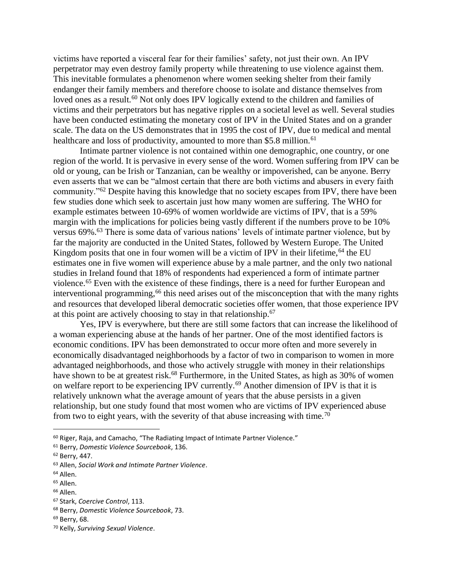victims have reported a visceral fear for their families' safety, not just their own. An IPV perpetrator may even destroy family property while threatening to use violence against them. This inevitable formulates a phenomenon where women seeking shelter from their family endanger their family members and therefore choose to isolate and distance themselves from loved ones as a result.<sup>60</sup> Not only does IPV logically extend to the children and families of victims and their perpetrators but has negative ripples on a societal level as well. Several studies have been conducted estimating the monetary cost of IPV in the United States and on a grander scale. The data on the US demonstrates that in 1995 the cost of IPV, due to medical and mental healthcare and loss of productivity, amounted to more than \$5.8 million.<sup>61</sup>

Intimate partner violence is not contained within one demographic, one country, or one region of the world. It is pervasive in every sense of the word. Women suffering from IPV can be old or young, can be Irish or Tanzanian, can be wealthy or impoverished, can be anyone. Berry even asserts that we can be "almost certain that there are both victims and abusers in every faith community."<sup>62</sup> Despite having this knowledge that no society escapes from IPV, there have been few studies done which seek to ascertain just how many women are suffering. The WHO for example estimates between 10-69% of women worldwide are victims of IPV, that is a 59% margin with the implications for policies being vastly different if the numbers prove to be 10% versus 69%.<sup>63</sup> There is some data of various nations' levels of intimate partner violence, but by far the majority are conducted in the United States, followed by Western Europe. The United Kingdom posits that one in four women will be a victim of IPV in their lifetime,  $64$  the EU estimates one in five women will experience abuse by a male partner, and the only two national studies in Ireland found that 18% of respondents had experienced a form of intimate partner violence.<sup>65</sup> Even with the existence of these findings, there is a need for further European and interventional programming,<sup>66</sup> this need arises out of the misconception that with the many rights and resources that developed liberal democratic societies offer women, that those experience IPV at this point are actively choosing to stay in that relationship.<sup>67</sup>

Yes, IPV is everywhere, but there are still some factors that can increase the likelihood of a woman experiencing abuse at the hands of her partner. One of the most identified factors is economic conditions. IPV has been demonstrated to occur more often and more severely in economically disadvantaged neighborhoods by a factor of two in comparison to women in more advantaged neighborhoods, and those who actively struggle with money in their relationships have shown to be at greatest risk.<sup>68</sup> Furthermore, in the United States, as high as 30% of women on welfare report to be experiencing IPV currently.<sup>69</sup> Another dimension of IPV is that it is relatively unknown what the average amount of years that the abuse persists in a given relationship, but one study found that most women who are victims of IPV experienced abuse from two to eight years, with the severity of that abuse increasing with time.<sup>70</sup>

<sup>66</sup> Allen.

<sup>60</sup> Riger, Raja, and Camacho, "The Radiating Impact of Intimate Partner Violence."

<sup>61</sup> Berry, *Domestic Violence Sourcebook*, 136.

<sup>62</sup> Berry, 447.

<sup>63</sup> Allen, *Social Work and Intimate Partner Violence*.

<sup>64</sup> Allen.

<sup>65</sup> Allen.

<sup>67</sup> Stark, *Coercive Control*, 113.

<sup>68</sup> Berry, *Domestic Violence Sourcebook*, 73.

<sup>69</sup> Berry, 68.

<sup>70</sup> Kelly, *Surviving Sexual Violence*.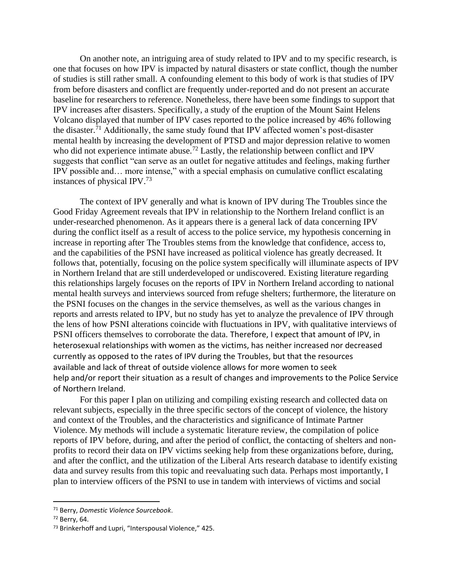On another note, an intriguing area of study related to IPV and to my specific research, is one that focuses on how IPV is impacted by natural disasters or state conflict, though the number of studies is still rather small. A confounding element to this body of work is that studies of IPV from before disasters and conflict are frequently under-reported and do not present an accurate baseline for researchers to reference. Nonetheless, there have been some findings to support that IPV increases after disasters. Specifically, a study of the eruption of the Mount Saint Helens Volcano displayed that number of IPV cases reported to the police increased by 46% following the disaster.<sup>71</sup> Additionally, the same study found that IPV affected women's post-disaster mental health by increasing the development of PTSD and major depression relative to women who did not experience intimate abuse.<sup>72</sup> Lastly, the relationship between conflict and IPV suggests that conflict "can serve as an outlet for negative attitudes and feelings, making further IPV possible and… more intense," with a special emphasis on cumulative conflict escalating instances of physical IPV.<sup>73</sup>

The context of IPV generally and what is known of IPV during The Troubles since the Good Friday Agreement reveals that IPV in relationship to the Northern Ireland conflict is an under-researched phenomenon. As it appears there is a general lack of data concerning IPV during the conflict itself as a result of access to the police service, my hypothesis concerning in increase in reporting after The Troubles stems from the knowledge that confidence, access to, and the capabilities of the PSNI have increased as political violence has greatly decreased. It follows that, potentially, focusing on the police system specifically will illuminate aspects of IPV in Northern Ireland that are still underdeveloped or undiscovered. Existing literature regarding this relationships largely focuses on the reports of IPV in Northern Ireland according to national mental health surveys and interviews sourced from refuge shelters; furthermore, the literature on the PSNI focuses on the changes in the service themselves, as well as the various changes in reports and arrests related to IPV, but no study has yet to analyze the prevalence of IPV through the lens of how PSNI alterations coincide with fluctuations in IPV, with qualitative interviews of PSNI officers themselves to corroborate the data. Therefore, I expect that amount of IPV, in heterosexual relationships with women as the victims, has neither increased nor decreased currently as opposed to the rates of IPV during the Troubles, but that the resources available and lack of threat of outside violence allows for more women to seek help and/or report their situation as a result of changes and improvements to the Police Service of Northern Ireland.

For this paper I plan on utilizing and compiling existing research and collected data on relevant subjects, especially in the three specific sectors of the concept of violence, the history and context of the Troubles, and the characteristics and significance of Intimate Partner Violence. My methods will include a systematic literature review, the compilation of police reports of IPV before, during, and after the period of conflict, the contacting of shelters and nonprofits to record their data on IPV victims seeking help from these organizations before, during, and after the conflict, and the utilization of the Liberal Arts research database to identify existing data and survey results from this topic and reevaluating such data. Perhaps most importantly, I plan to interview officers of the PSNI to use in tandem with interviews of victims and social

<sup>71</sup> Berry, *Domestic Violence Sourcebook*.

<sup>72</sup> Berry, 64.

<sup>73</sup> Brinkerhoff and Lupri, "Interspousal Violence," 425.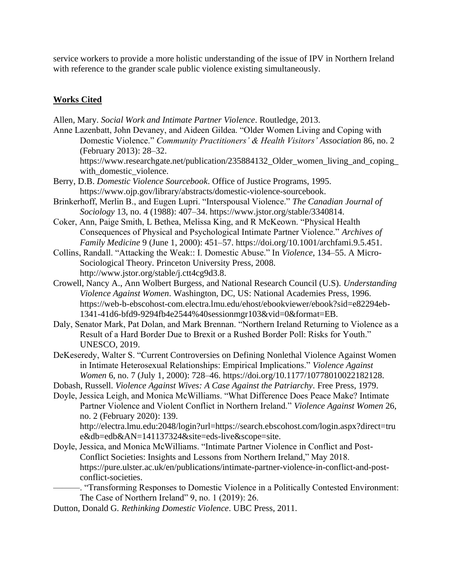service workers to provide a more holistic understanding of the issue of IPV in Northern Ireland with reference to the grander scale public violence existing simultaneously.

## **Works Cited**

Allen, Mary. *Social Work and Intimate Partner Violence*. Routledge, 2013.

Anne Lazenbatt, John Devaney, and Aideen Gildea. "Older Women Living and Coping with Domestic Violence." *Community Practitioners' & Health Visitors' Association* 86, no. 2 (February 2013): 28–32.

- Berry, D.B. *Domestic Violence Sourcebook*. Office of Justice Programs, 1995. https://www.ojp.gov/library/abstracts/domestic-violence-sourcebook.
- Brinkerhoff, Merlin B., and Eugen Lupri. "Interspousal Violence." *The Canadian Journal of Sociology* 13, no. 4 (1988): 407–34. https://www.jstor.org/stable/3340814.
- Coker, Ann, Paige Smith, L Bethea, Melissa King, and R McKeown. "Physical Health Consequences of Physical and Psychological Intimate Partner Violence." *Archives of Family Medicine* 9 (June 1, 2000): 451–57. https://doi.org/10.1001/archfami.9.5.451.
- Collins, Randall. "Attacking the Weak:: I. Domestic Abuse." In *Violence*, 134–55. A Micro-Sociological Theory. Princeton University Press, 2008. http://www.jstor.org/stable/j.ctt4cg9d3.8.
- Crowell, Nancy A., Ann Wolbert Burgess, and National Research Council (U.S). *Understanding Violence Against Women*. Washington, DC, US: National Academies Press, 1996. https://web-b-ebscohost-com.electra.lmu.edu/ehost/ebookviewer/ebook?sid=e82294eb-1341-41d6-bfd9-9294fb4e2544%40sessionmgr103&vid=0&format=EB.
- Daly, Senator Mark, Pat Dolan, and Mark Brennan. "Northern Ireland Returning to Violence as a Result of a Hard Border Due to Brexit or a Rushed Border Poll: Risks for Youth." UNESCO, 2019.
- DeKeseredy, Walter S. "Current Controversies on Defining Nonlethal Violence Against Women in Intimate Heterosexual Relationships: Empirical Implications." *Violence Against Women* 6, no. 7 (July 1, 2000): 728–46. https://doi.org/10.1177/10778010022182128.
- Dobash, Russell. *Violence Against Wives: A Case Against the Patriarchy*. Free Press, 1979.
- Doyle, Jessica Leigh, and Monica McWilliams. "What Difference Does Peace Make? Intimate Partner Violence and Violent Conflict in Northern Ireland." *Violence Against Women* 26, no. 2 (February 2020): 139.

http://electra.lmu.edu:2048/login?url=https://search.ebscohost.com/login.aspx?direct=tru e&db=edb&AN=141137324&site=eds-live&scope=site.

- Doyle, Jessica, and Monica McWilliams. "Intimate Partner Violence in Conflict and Post-Conflict Societies: Insights and Lessons from Northern Ireland," May 2018. https://pure.ulster.ac.uk/en/publications/intimate-partner-violence-in-conflict-and-postconflict-societies.
	- ———. "Transforming Responses to Domestic Violence in a Politically Contested Environment: The Case of Northern Ireland" 9, no. 1 (2019): 26.
- Dutton, Donald G. *Rethinking Domestic Violence*. UBC Press, 2011.

https://www.researchgate.net/publication/235884132\_Older\_women\_living\_and\_coping\_ with\_domestic\_violence.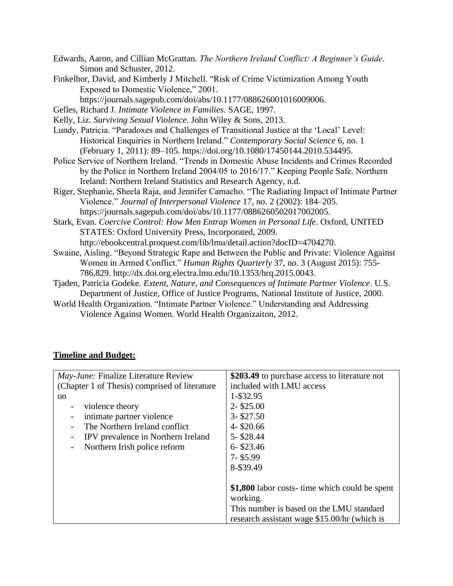Edwards, Aaron, and Cillian McGrattan. *The Northern Ireland Conflict: A Beginner's Guide*. Simon and Schuster, 2012.

Finkelhor, David, and Kimberly J Mitchell. "Risk of Crime Victimization Among Youth Exposed to Domestic Violence," 2001.

https://journals.sagepub.com/doi/abs/10.1177/088626001016009006.

- Gelles, Richard J. *Intimate Violence in Families*. SAGE, 1997.
- Kelly, Liz. *Surviving Sexual Violence*. John Wiley & Sons, 2013.
- Lundy, Patricia. "Paradoxes and Challenges of Transitional Justice at the 'Local' Level: Historical Enquiries in Northern Ireland." *Contemporary Social Science* 6, no. 1 (February 1, 2011): 89–105. https://doi.org/10.1080/17450144.2010.534495.
- Police Service of Northern Ireland. "Trends in Domestic Abuse Incidents and Crimes Recorded by the Police in Northern Ireland 2004/05 to 2016/17." Keeping People Safe. Northern Ireland: Northern Ireland Statistics and Research Agency, n.d.
- Riger, Stephanie, Sheela Raja, and Jennifer Camacho. "The Radiating Impact of Intimate Partner Violence." *Journal of Interpersonal Violence* 17, no. 2 (2002): 184–205. https://journals.sagepub.com/doi/abs/10.1177/0886260502017002005.
- Stark, Evan. *Coercive Control: How Men Entrap Women in Personal Life*. Oxford, UNITED STATES: Oxford University Press, Incorporated, 2009.

http://ebookcentral.proquest.com/lib/lmu/detail.action?docID=4704270.

- Swaine, Aisling. "Beyond Strategic Rape and Between the Public and Private: Violence Against Women in Armed Conflict." *Human Rights Quarterly* 37, no. 3 (August 2015): 755- 786,829. http://dx.doi.org.electra.lmu.edu/10.1353/hrq.2015.0043.
- Tjaden, Patricia Godeke. *Extent, Nature, and Consequences of Intimate Partner Violence*. U.S. Department of Justice, Office of Justice Programs, National Institute of Justice, 2000.
- World Health Organization. "Intimate Partner Violence." Understanding and Addressing Violence Against Women. World Health Organizaiton, 2012.

## **Timeline and Budget:**

| May-June: Finalize Literature Review                     | \$203.49 to purchase access to literature not  |
|----------------------------------------------------------|------------------------------------------------|
| (Chapter 1 of Thesis) comprised of literature            | included with LMU access                       |
| <sub>on</sub>                                            | 1-\$32.95                                      |
| violence theory                                          | $2 - $25.00$                                   |
| intimate partner violence                                | $3 - $27.50$                                   |
| The Northern Ireland conflict                            | $4 - $20.66$                                   |
| IPV prevalence in Northern Ireland                       | 5-\$28.44                                      |
| Northern Irish police reform<br>$\overline{\phantom{a}}$ | $6 - $23.46$                                   |
|                                                          | $7 - $5.99$                                    |
|                                                          | 8-\$39.49                                      |
|                                                          |                                                |
|                                                          | \$1,800 labor costs- time which could be spent |
|                                                          | working.                                       |
|                                                          | This number is based on the LMU standard       |
|                                                          | research assistant wage \$15.00/hr (which is   |